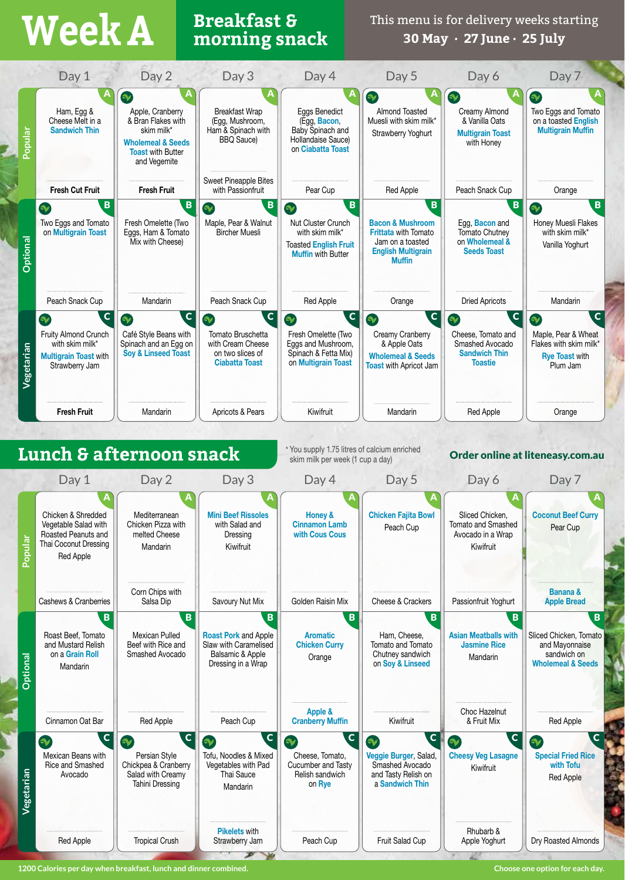# **Breakfast & Week A morning snack**

This menu is for delivery weeks starting **30 May · 27 June · 25 July**



**1200 Calories per day when breakfast, lunch and dinner combined. Choose one option for each day.**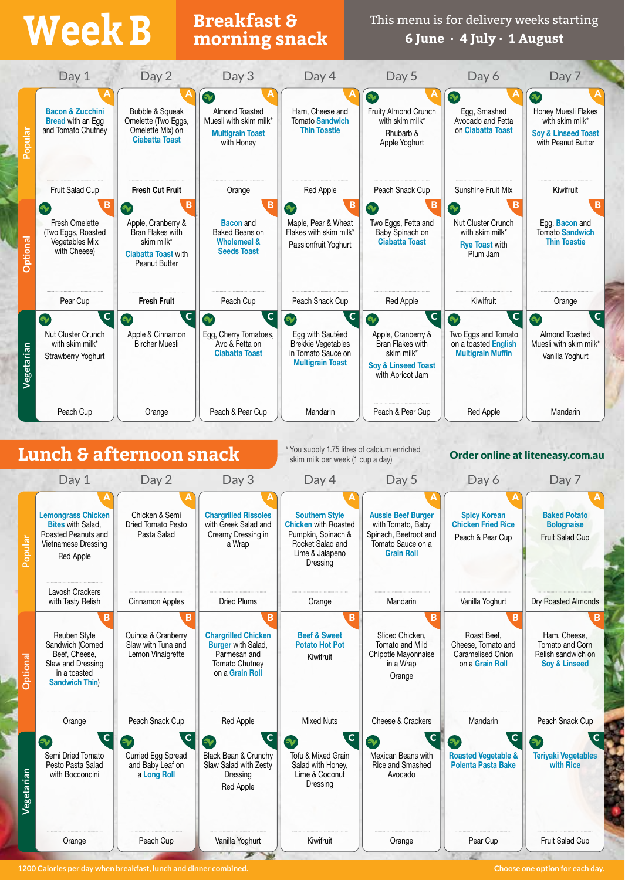## **Breakfast & Week B morning snack**

This menu is for delivery weeks starting **6 June · 4 July · 1 August**



**1200 Calories per day when breakfast, lunch and dinner combined. Choose one option for each day.**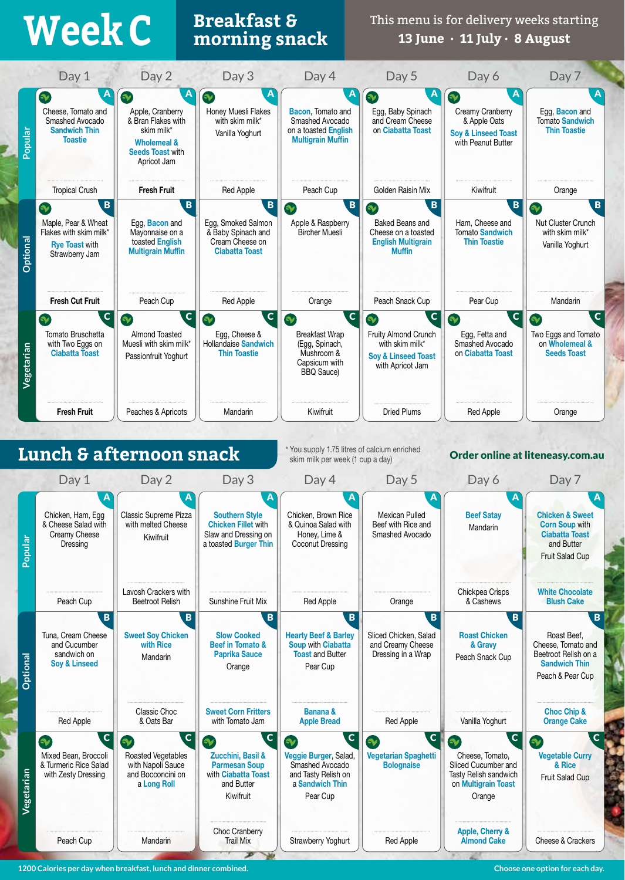### **Breakfast & Week C morning snack**

This menu is for delivery weeks starting **13 June · 11 July · 8 August**